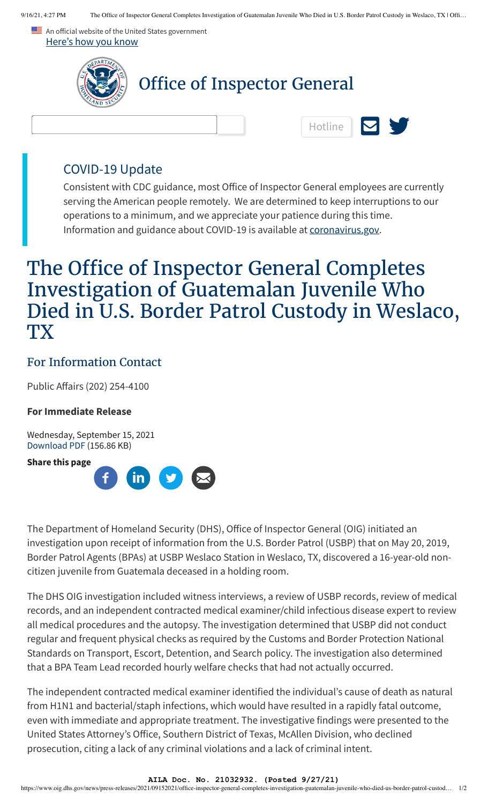An official website of the United States government Here's how you know



### COVID-19 Update

Consistent with CDC guidance, most Office of Inspector General employees are currently serving the American people remotely. We are determined to keep interruptions to our operations to a minimum, and we appreciate your patience during this time. Information and guidance about COVID-19 is available at [coronavirus.gov.](https://www.coronavirus.gov/)

# The Office of Inspector General Completes Investigation of Guatemalan Juvenile Who Died in U.S. Border Patrol Custody in Weslaco, **TX**

## For Information Contact

Public Affairs (202) 254-4100

#### **For Immediate Release**

Wednesday, September 15, 2021 [Download PDF](https://www.oig.dhs.gov/file/6847/download?token=OI8pnSbD) (156.86 KB)

**Share this page**



The Department of Homeland Security (DHS), Office of Inspector General (OIG) initiated an investigation upon receipt of information from the U.S. Border Patrol (USBP) that on May 20, 2019, Border Patrol Agents (BPAs) at USBP Weslaco Station in Weslaco, TX, discovered a 16-year-old noncitizen juvenile from Guatemala deceased in a holding room.

The DHS OIG investigation included witness interviews, a review of USBP records, review of medical records, and an independent contracted medical examiner/child infectious disease expert to review all medical procedures and the autopsy. The investigation determined that USBP did not conduct regular and frequent physical checks as required by the Customs and Border Protection National Standards on Transport, Escort, Detention, and Search policy. The investigation also determined that a BPA Team Lead recorded hourly welfare checks that had not actually occurred.

The independent contracted medical examiner identified the individual's cause of death as natural from H1N1 and bacterial/staph infections, which would have resulted in a rapidly fatal outcome, even with immediate and appropriate treatment. The investigative findings were presented to the United States Attorney's Office, Southern District of Texas, McAllen Division, who declined prosecution, citing a lack of any criminal violations and a lack of criminal intent.